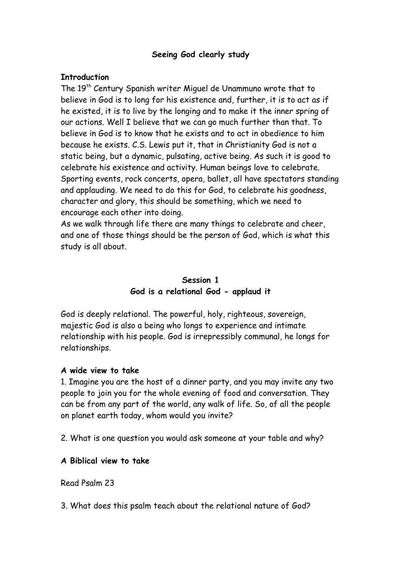## **Seeing God clearly study**

#### **Introduction**

The 19<sup>th</sup> Century Spanish writer Miguel de Unammuno wrote that to believe in God is to long for his existence and, further, it is to act as if he existed, it is to live by the longing and to make it the inner spring of our actions. Well I believe that we can go much further than that. To believe in God is to know that he exists and to act in obedience to him because he exists. C.S. Lewis put it, that in Christianity God is not a static being, but a dynamic, pulsating, active being. As such it is good to celebrate his existence and activity. Human beings love to celebrate. Sporting events, rock concerts, opera, ballet, all have spectators standing and applauding. We need to do this for God, to celebrate his goodness, character and glory, this should be something, which we need to encourage each other into doing.

As we walk through life there are many things to celebrate and cheer, and one of those things should be the person of God, which is what this study is all about.

# **Session 1 God is a relational God - applaud it**

God is deeply relational. The powerful, holy, righteous, sovereign, majestic God is also a being who longs to experience and intimate relationship with his people. God is irrepressibly communal, he longs for relationships.

#### **A wide view to take**

1. Imagine you are the host of a dinner party, and you may invite any two people to join you for the whole evening of food and conversation. They can be from any part of the world, any walk of life. So, of all the people on planet earth today, whom would you invite?

2. What is one question you would ask someone at your table and why?

## **A Biblical view to take**

Read Psalm 23

3. What does this psalm teach about the relational nature of God?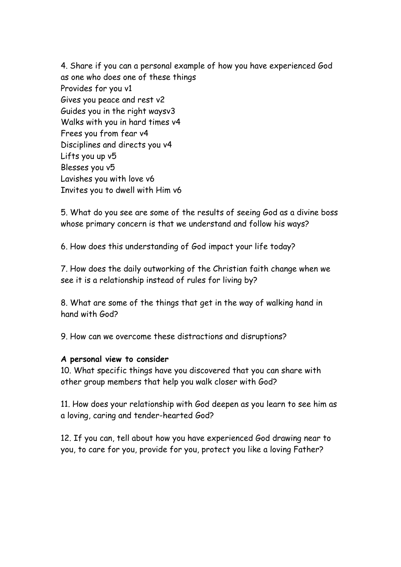4. Share if you can a personal example of how you have experienced God as one who does one of these things Provides for you v1 Gives you peace and rest v2 Guides you in the right waysv3 Walks with you in hard times v4 Frees you from fear v4 Disciplines and directs you v4 Lifts you up v5 Blesses you v5 Lavishes you with love v6 Invites you to dwell with Him v6

5. What do you see are some of the results of seeing God as a divine boss whose primary concern is that we understand and follow his ways?

6. How does this understanding of God impact your life today?

7. How does the daily outworking of the Christian faith change when we see it is a relationship instead of rules for living by?

8. What are some of the things that get in the way of walking hand in hand with God?

9. How can we overcome these distractions and disruptions?

#### **A personal view to consider**

10. What specific things have you discovered that you can share with other group members that help you walk closer with God?

11. How does your relationship with God deepen as you learn to see him as a loving, caring and tender-hearted God?

12. If you can, tell about how you have experienced God drawing near to you, to care for you, provide for you, protect you like a loving Father?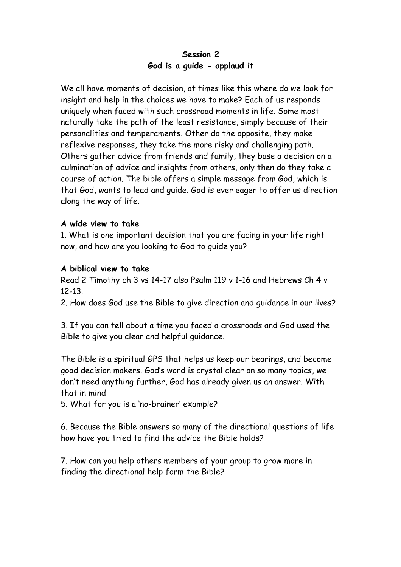# **Session 2 God is a guide - applaud it**

We all have moments of decision, at times like this where do we look for insight and help in the choices we have to make? Each of us responds uniquely when faced with such crossroad moments in life. Some most naturally take the path of the least resistance, simply because of their personalities and temperaments. Other do the opposite, they make reflexive responses, they take the more risky and challenging path. Others gather advice from friends and family, they base a decision on a culmination of advice and insights from others, only then do they take a course of action. The bible offers a simple message from God, which is that God, wants to lead and guide. God is ever eager to offer us direction along the way of life.

#### **A wide view to take**

1. What is one important decision that you are facing in your life right now, and how are you looking to God to guide you?

## **A biblical view to take**

Read 2 Timothy ch 3 vs 14-17 also Psalm 119 v 1-16 and Hebrews Ch 4 v 12-13.

2. How does God use the Bible to give direction and guidance in our lives?

3. If you can tell about a time you faced a crossroads and God used the Bible to give you clear and helpful guidance.

The Bible is a spiritual GPS that helps us keep our bearings, and become good decision makers. God's word is crystal clear on so many topics, we don't need anything further, God has already given us an answer. With that in mind

5. What for you is a 'no-brainer' example?

6. Because the Bible answers so many of the directional questions of life how have you tried to find the advice the Bible holds?

7. How can you help others members of your group to grow more in finding the directional help form the Bible?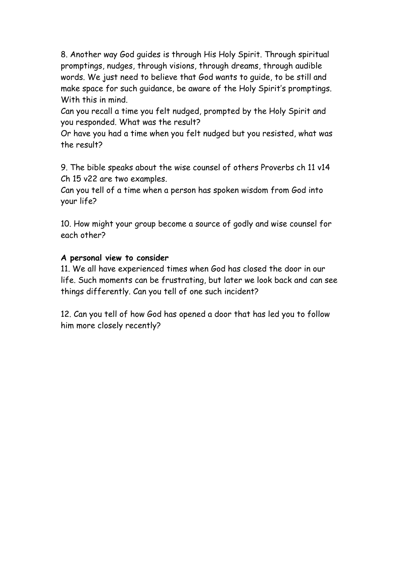8. Another way God guides is through His Holy Spirit. Through spiritual promptings, nudges, through visions, through dreams, through audible words. We just need to believe that God wants to guide, to be still and make space for such guidance, be aware of the Holy Spirit's promptings. With this in mind.

Can you recall a time you felt nudged, prompted by the Holy Spirit and you responded. What was the result?

Or have you had a time when you felt nudged but you resisted, what was the result?

9. The bible speaks about the wise counsel of others Proverbs ch 11 v14 Ch 15 v22 are two examples.

Can you tell of a time when a person has spoken wisdom from God into your life?

10. How might your group become a source of godly and wise counsel for each other?

# **A personal view to consider**

11. We all have experienced times when God has closed the door in our life. Such moments can be frustrating, but later we look back and can see things differently. Can you tell of one such incident?

12. Can you tell of how God has opened a door that has led you to follow him more closely recently?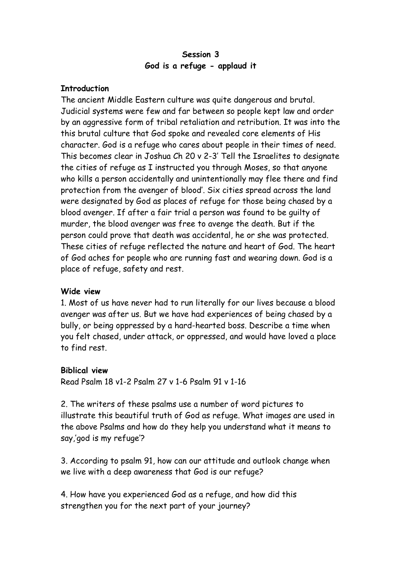## **Session 3 God is a refuge - applaud it**

#### **Introduction**

The ancient Middle Eastern culture was quite dangerous and brutal. Judicial systems were few and far between so people kept law and order by an aggressive form of tribal retaliation and retribution. It was into the this brutal culture that God spoke and revealed core elements of His character. God is a refuge who cares about people in their times of need. This becomes clear in Joshua Ch 20 v 2-3' Tell the Israelites to designate the cities of refuge as I instructed you through Moses, so that anyone who kills a person accidentally and unintentionally may flee there and find protection from the avenger of blood'. Six cities spread across the land were designated by God as places of refuge for those being chased by a blood avenger. If after a fair trial a person was found to be guilty of murder, the blood avenger was free to avenge the death. But if the person could prove that death was accidental, he or she was protected. These cities of refuge reflected the nature and heart of God. The heart of God aches for people who are running fast and wearing down. God is a place of refuge, safety and rest.

# **Wide view**

1. Most of us have never had to run literally for our lives because a blood avenger was after us. But we have had experiences of being chased by a bully, or being oppressed by a hard-hearted boss. Describe a time when you felt chased, under attack, or oppressed, and would have loved a place to find rest.

#### **Biblical view**

Read Psalm 18 v1-2 Psalm 27 v 1-6 Psalm 91 v 1-16

2. The writers of these psalms use a number of word pictures to illustrate this beautiful truth of God as refuge. What images are used in the above Psalms and how do they help you understand what it means to say,'god is my refuge'?

3. According to psalm 91, how can our attitude and outlook change when we live with a deep awareness that God is our refuge?

4. How have you experienced God as a refuge, and how did this strengthen you for the next part of your journey?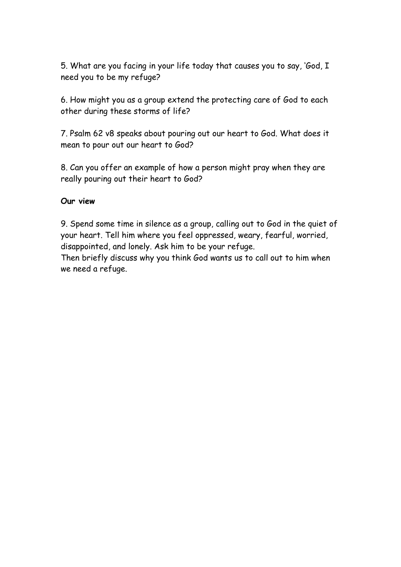5. What are you facing in your life today that causes you to say, 'God, I need you to be my refuge?

6. How might you as a group extend the protecting care of God to each other during these storms of life?

7. Psalm 62 v8 speaks about pouring out our heart to God. What does it mean to pour out our heart to God?

8. Can you offer an example of how a person might pray when they are really pouring out their heart to God?

## **Our view**

9. Spend some time in silence as a group, calling out to God in the quiet of your heart. Tell him where you feel oppressed, weary, fearful, worried, disappointed, and lonely. Ask him to be your refuge.

Then briefly discuss why you think God wants us to call out to him when we need a refuge.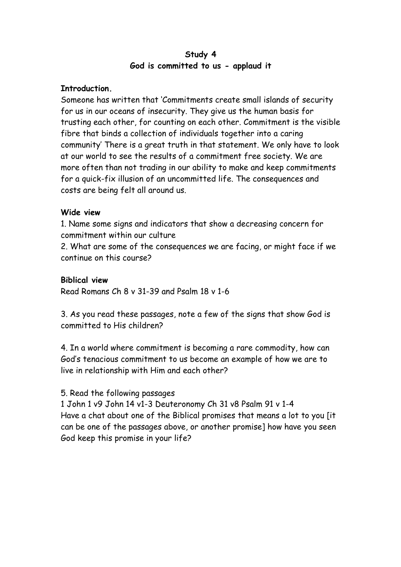## **Study 4 God is committed to us - applaud it**

## **Introduction.**

Someone has written that 'Commitments create small islands of security for us in our oceans of insecurity. They give us the human basis for trusting each other, for counting on each other. Commitment is the visible fibre that binds a collection of individuals together into a caring community' There is a great truth in that statement. We only have to look at our world to see the results of a commitment free society. We are more often than not trading in our ability to make and keep commitments for a quick-fix illusion of an uncommitted life. The consequences and costs are being felt all around us.

## **Wide view**

1. Name some signs and indicators that show a decreasing concern for commitment within our culture

2. What are some of the consequences we are facing, or might face if we continue on this course?

## **Biblical view**

Read Romans Ch 8 v 31-39 and Psalm 18 v 1-6

3. As you read these passages, note a few of the signs that show God is committed to His children?

4. In a world where commitment is becoming a rare commodity, how can God's tenacious commitment to us become an example of how we are to live in relationship with Him and each other?

# 5. Read the following passages

1 John 1 v9 John 14 v1-3 Deuteronomy Ch 31 v8 Psalm 91 v 1-4 Have a chat about one of the Biblical promises that means a lot to you [it can be one of the passages above, or another promise] how have you seen God keep this promise in your life?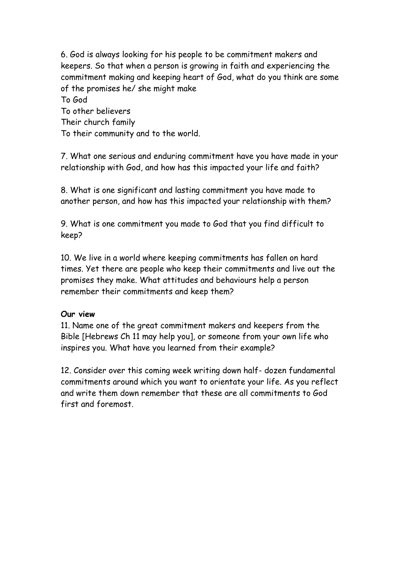6. God is always looking for his people to be commitment makers and keepers. So that when a person is growing in faith and experiencing the commitment making and keeping heart of God, what do you think are some of the promises he/ she might make To God To other believers Their church family To their community and to the world.

7. What one serious and enduring commitment have you have made in your relationship with God, and how has this impacted your life and faith?

8. What is one significant and lasting commitment you have made to another person, and how has this impacted your relationship with them?

9. What is one commitment you made to God that you find difficult to keep?

10. We live in a world where keeping commitments has fallen on hard times. Yet there are people who keep their commitments and live out the promises they make. What attitudes and behaviours help a person remember their commitments and keep them?

#### **Our view**

11. Name one of the great commitment makers and keepers from the Bible [Hebrews Ch 11 may help you], or someone from your own life who inspires you. What have you learned from their example?

12. Consider over this coming week writing down half- dozen fundamental commitments around which you want to orientate your life. As you reflect and write them down remember that these are all commitments to God first and foremost.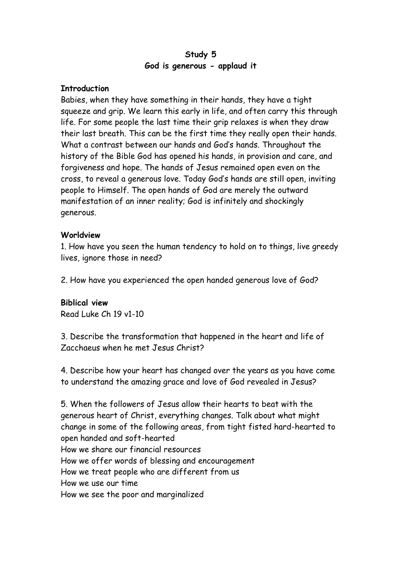## **Study 5 God is generous - applaud it**

#### **Introduction**

Babies, when they have something in their hands, they have a tight squeeze and grip. We learn this early in life, and often carry this through life. For some people the last time their grip relaxes is when they draw their last breath. This can be the first time they really open their hands. What a contrast between our hands and God's hands. Throughout the history of the Bible God has opened his hands, in provision and care, and forgiveness and hope. The hands of Jesus remained open even on the cross, to reveal a generous love. Today God's hands are still open, inviting people to Himself. The open hands of God are merely the outward manifestation of an inner reality; God is infinitely and shockingly generous.

## **Worldview**

1. How have you seen the human tendency to hold on to things, live greedy lives, ignore those in need?

2. How have you experienced the open handed generous love of God?

#### **Biblical view**

Read Luke Ch 19 v1-10

3. Describe the transformation that happened in the heart and life of Zacchaeus when he met Jesus Christ?

4. Describe how your heart has changed over the years as you have come to understand the amazing grace and love of God revealed in Jesus?

5. When the followers of Jesus allow their hearts to beat with the generous heart of Christ, everything changes. Talk about what might change in some of the following areas, from tight fisted hard-hearted to open handed and soft-hearted How we share our financial resources How we offer words of blessing and encouragement How we treat people who are different from us How we use our time How we see the poor and marginalized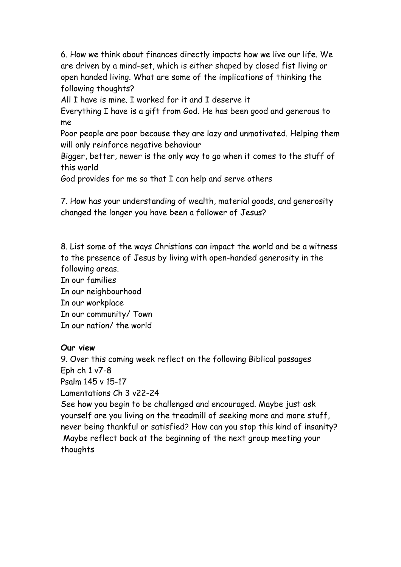6. How we think about finances directly impacts how we live our life. We are driven by a mind-set, which is either shaped by closed fist living or open handed living. What are some of the implications of thinking the following thoughts?

All I have is mine. I worked for it and I deserve it

Everything I have is a gift from God. He has been good and generous to me

Poor people are poor because they are lazy and unmotivated. Helping them will only reinforce negative behaviour

Bigger, better, newer is the only way to go when it comes to the stuff of this world

God provides for me so that I can help and serve others

7. How has your understanding of wealth, material goods, and generosity changed the longer you have been a follower of Jesus?

8. List some of the ways Christians can impact the world and be a witness to the presence of Jesus by living with open-handed generosity in the following areas.

In our families In our neighbourhood In our workplace In our community/ Town In our nation/ the world

# **Our view**

9. Over this coming week reflect on the following Biblical passages Eph ch 1 v7-8 Psalm 145 v 15-17 Lamentations Ch 3 v22-24 See how you begin to be challenged and encouraged. Maybe just ask yourself are you living on the treadmill of seeking more and more stuff, never being thankful or satisfied? How can you stop this kind of insanity? Maybe reflect back at the beginning of the next group meeting your thoughts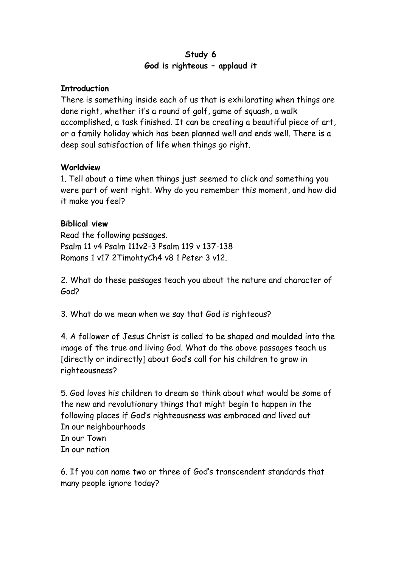# **Study 6 God is righteous – applaud it**

## **Introduction**

There is something inside each of us that is exhilarating when things are done right, whether it's a round of golf, game of squash, a walk accomplished, a task finished. It can be creating a beautiful piece of art, or a family holiday which has been planned well and ends well. There is a deep soul satisfaction of life when things go right.

## **Worldview**

1. Tell about a time when things just seemed to click and something you were part of went right. Why do you remember this moment, and how did it make you feel?

# **Biblical view**

Read the following passages. Psalm 11 v4 Psalm 111v2-3 Psalm 119 v 137-138 Romans 1 v17 2TimohtyCh4 v8 1 Peter 3 v12.

2. What do these passages teach you about the nature and character of God?

3. What do we mean when we say that God is righteous?

4. A follower of Jesus Christ is called to be shaped and moulded into the image of the true and living God. What do the above passages teach us [directly or indirectly] about God's call for his children to grow in righteousness?

5. God loves his children to dream so think about what would be some of the new and revolutionary things that might begin to happen in the following places if God's righteousness was embraced and lived out In our neighbourhoods In our Town In our nation

6. If you can name two or three of God's transcendent standards that many people ignore today?